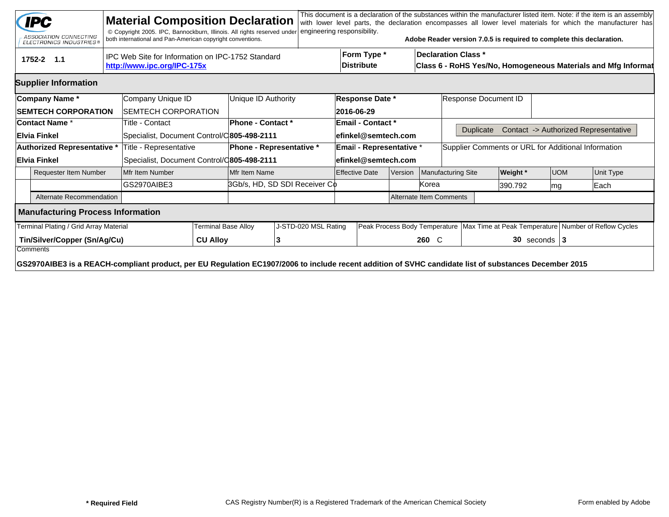|                                                           | <b>IPC</b><br>ASSOCIATION CONNECTING<br><b>ELECTRONICS INDUSTRIES®</b>                                                                                            |                                                                                  | <b>Material Composition Declaration</b><br>© Copyright 2005. IPC, Bannockburn, Illinois. All rights reserved under<br>both international and Pan-American copyright conventions. |                            |                                 | engineering responsibility. |                          |                                                                                                                          |         |                           | Adobe Reader version 7.0.5 is required to complete this declaration. |          |            |      | This document is a declaration of the substances within the manufacturer listed item. Note: if the item is an assembly<br>with lower level parts, the declaration encompasses all lower level materials for which the manufacturer has |  |
|-----------------------------------------------------------|-------------------------------------------------------------------------------------------------------------------------------------------------------------------|----------------------------------------------------------------------------------|----------------------------------------------------------------------------------------------------------------------------------------------------------------------------------|----------------------------|---------------------------------|-----------------------------|--------------------------|--------------------------------------------------------------------------------------------------------------------------|---------|---------------------------|----------------------------------------------------------------------|----------|------------|------|----------------------------------------------------------------------------------------------------------------------------------------------------------------------------------------------------------------------------------------|--|
|                                                           | 1752-2 1.1                                                                                                                                                        | IPC Web Site for Information on IPC-1752 Standard<br>http://www.ipc.org/IPC-175x |                                                                                                                                                                                  |                            |                                 |                             |                          | Form Type *<br><b>Declaration Class *</b><br>Distribute<br>Class 6 - RoHS Yes/No, Homogeneous Materials and Mfg Informat |         |                           |                                                                      |          |            |      |                                                                                                                                                                                                                                        |  |
| <b>Supplier Information</b>                               |                                                                                                                                                                   |                                                                                  |                                                                                                                                                                                  |                            |                                 |                             |                          |                                                                                                                          |         |                           |                                                                      |          |            |      |                                                                                                                                                                                                                                        |  |
|                                                           | Company Name*                                                                                                                                                     | Company Unique ID                                                                |                                                                                                                                                                                  |                            | Unique ID Authority             |                             |                          | <b>Response Date *</b>                                                                                                   |         |                           | Response Document ID                                                 |          |            |      |                                                                                                                                                                                                                                        |  |
| <b>SEMTECH CORPORATION</b><br><b>ISEMTECH CORPORATION</b> |                                                                                                                                                                   |                                                                                  |                                                                                                                                                                                  |                            |                                 |                             | 2016-06-29               |                                                                                                                          |         |                           |                                                                      |          |            |      |                                                                                                                                                                                                                                        |  |
| ∣Contact Name *                                           |                                                                                                                                                                   |                                                                                  | Title - Contact                                                                                                                                                                  |                            | <b>Phone - Contact *</b>        |                             |                          | <b>Email - Contact *</b>                                                                                                 |         |                           |                                                                      |          |            |      |                                                                                                                                                                                                                                        |  |
|                                                           | ∣Elvia Finkel                                                                                                                                                     |                                                                                  | Specialist, Document Control/C805-498-2111                                                                                                                                       |                            |                                 |                             | efinkel@semtech.com      |                                                                                                                          |         |                           | Contact -> Authorized Representative<br><b>Duplicate</b>             |          |            |      |                                                                                                                                                                                                                                        |  |
| Authorized Representative *                               |                                                                                                                                                                   |                                                                                  | Title - Representative                                                                                                                                                           |                            | <b>Phone - Representative *</b> |                             | Email - Representative * |                                                                                                                          |         |                           | Supplier Comments or URL for Additional Information                  |          |            |      |                                                                                                                                                                                                                                        |  |
|                                                           | ∣Elvia Finkel                                                                                                                                                     |                                                                                  | Specialist, Document Control/C805-498-2111                                                                                                                                       |                            |                                 |                             | efinkel@semtech.com      |                                                                                                                          |         |                           |                                                                      |          |            |      |                                                                                                                                                                                                                                        |  |
|                                                           | <b>Requester Item Number</b>                                                                                                                                      |                                                                                  | Mfr Item Number                                                                                                                                                                  |                            | Mfr Item Name                   |                             | <b>Effective Date</b>    |                                                                                                                          | Version | <b>Manufacturing Site</b> |                                                                      | Weight * | <b>UOM</b> |      | Unit Type                                                                                                                                                                                                                              |  |
|                                                           |                                                                                                                                                                   |                                                                                  | GS2970AIBE3                                                                                                                                                                      |                            | 3Gb/s, HD, SD SDI Receiver Co   |                             | Korea                    |                                                                                                                          |         | 390.792                   |                                                                      | lmg      |            | Each |                                                                                                                                                                                                                                        |  |
|                                                           | Alternate Recommendation                                                                                                                                          |                                                                                  |                                                                                                                                                                                  |                            |                                 |                             | Alternate Item Comments  |                                                                                                                          |         |                           |                                                                      |          |            |      |                                                                                                                                                                                                                                        |  |
|                                                           | <b>Manufacturing Process Information</b>                                                                                                                          |                                                                                  |                                                                                                                                                                                  |                            |                                 |                             |                          |                                                                                                                          |         |                           |                                                                      |          |            |      |                                                                                                                                                                                                                                        |  |
| Terminal Plating / Grid Array Material                    |                                                                                                                                                                   |                                                                                  |                                                                                                                                                                                  | <b>Terminal Base Alloy</b> |                                 | J-STD-020 MSL Rating        |                          |                                                                                                                          |         |                           |                                                                      |          |            |      | Peak Process Body Temperature   Max Time at Peak Temperature   Number of Reflow Cycles                                                                                                                                                 |  |
| Tin/Silver/Copper (Sn/Ag/Cu)                              |                                                                                                                                                                   |                                                                                  |                                                                                                                                                                                  | <b>CU Alloy</b>            | 13                              |                             |                          |                                                                                                                          |         | 260 C                     | $30$ seconds   3                                                     |          |            |      |                                                                                                                                                                                                                                        |  |
|                                                           | Comments<br>GS2970AIBE3 is a REACH-compliant product, per EU Regulation EC1907/2006 to include recent addition of SVHC candidate list of substances December 2015 |                                                                                  |                                                                                                                                                                                  |                            |                                 |                             |                          |                                                                                                                          |         |                           |                                                                      |          |            |      |                                                                                                                                                                                                                                        |  |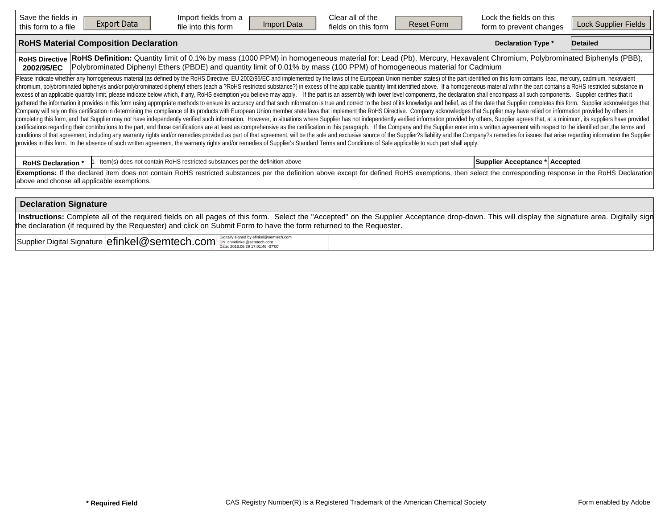| Save the fields in<br><b>Export Data</b><br>this form to a file | Import fields from a<br>Import Data<br>file into this form                                                                                                                                                                                                                                                                                                                                                                                                                                                                                                                                                                                                                                                                                                                                                                                                                                                                                                                                                                                                                                                                                                                                                                                                                                                                                                                                                                                                                                                                                                                                                                                                                                                                                                                                                                                                                                                                                                                                                                                                                  | Clear all of the<br>fields on this form | <b>Reset Form</b> | Lock the fields on this<br>form to prevent changes | Lock Supplier Fields |
|-----------------------------------------------------------------|-----------------------------------------------------------------------------------------------------------------------------------------------------------------------------------------------------------------------------------------------------------------------------------------------------------------------------------------------------------------------------------------------------------------------------------------------------------------------------------------------------------------------------------------------------------------------------------------------------------------------------------------------------------------------------------------------------------------------------------------------------------------------------------------------------------------------------------------------------------------------------------------------------------------------------------------------------------------------------------------------------------------------------------------------------------------------------------------------------------------------------------------------------------------------------------------------------------------------------------------------------------------------------------------------------------------------------------------------------------------------------------------------------------------------------------------------------------------------------------------------------------------------------------------------------------------------------------------------------------------------------------------------------------------------------------------------------------------------------------------------------------------------------------------------------------------------------------------------------------------------------------------------------------------------------------------------------------------------------------------------------------------------------------------------------------------------------|-----------------------------------------|-------------------|----------------------------------------------------|----------------------|
| <b>RoHS Material Composition Declaration</b>                    |                                                                                                                                                                                                                                                                                                                                                                                                                                                                                                                                                                                                                                                                                                                                                                                                                                                                                                                                                                                                                                                                                                                                                                                                                                                                                                                                                                                                                                                                                                                                                                                                                                                                                                                                                                                                                                                                                                                                                                                                                                                                             |                                         |                   | <b>Declaration Type *</b>                          | Detailed             |
| <b>RoHS Directive</b><br>2002/95/EC                             | RoHS Definition: Quantity limit of 0.1% by mass (1000 PPM) in homogeneous material for: Lead (Pb), Mercury, Hexavalent Chromium, Polybrominated Biphenyls (PBB),<br>Polybrominated Diphenyl Ethers (PBDE) and quantity limit of 0.01% by mass (100 PPM) of homogeneous material for Cadmium                                                                                                                                                                                                                                                                                                                                                                                                                                                                                                                                                                                                                                                                                                                                                                                                                                                                                                                                                                                                                                                                                                                                                                                                                                                                                                                                                                                                                                                                                                                                                                                                                                                                                                                                                                                 |                                         |                   |                                                    |                      |
|                                                                 | Please indicate whether any homogeneous material (as defined by the RoHS Directive, EU 2002/95/EC and implemented by the laws of the European Union member states) of the part identified on this form contains lead, mercury,<br>chromium, polybrominated biphenyls and/or polybrominated diphenyl ethers (each a ?RoHS restricted substance?) in excess of the applicable quantity limit identified above. If a homogeneous material within the part contains<br>excess of an applicable quantity limit, please indicate below which, if any, RoHS exemption you believe may apply. If the part is an assembly with lower level components, the declaration shall encompass all such components<br>gathered the information it provides in this form using appropriate methods to ensure its accuracy and that such information is true and correct to the best of its knowledge and belief, as of the date that Supplier complet<br>Company will rely on this certification in determining the compliance of its products with European Union member state laws that implement the RoHS Directive. Company acknowledges that Supplier may have relied on informati<br>completing this form, and that Supplier may not have independently verified such information. However, in situations where Supplier has not independently verified information provided by others, Supplier agrees that, at a<br>certifications regarding their contributions to the part, and those certifications are at least as comprehensive as the certification in this paragraph. If the Company and the Supplier enter into a written agreement with r<br>conditions of that agreement, including any warranty rights and/or remedies provided as part of that agreement, will be the sole and exclusive source of the Supplier?s liability and the Company?s remedies for issues that a<br>provides in this form. In the absence of such written agreement, the warranty rights and/or remedies of Supplier's Standard Terms and Conditions of Sale applicable to such part shall apply. |                                         |                   |                                                    |                      |
| <b>RoHS Declaration *</b>                                       | - Item(s) does not contain RoHS restricted substances per the definition above                                                                                                                                                                                                                                                                                                                                                                                                                                                                                                                                                                                                                                                                                                                                                                                                                                                                                                                                                                                                                                                                                                                                                                                                                                                                                                                                                                                                                                                                                                                                                                                                                                                                                                                                                                                                                                                                                                                                                                                              |                                         |                   | Supplier Acceptance * Accepted                     |                      |
| above and choose all applicable exemptions.                     | Exemptions: If the declared item does not contain RoHS restricted substances per the definition above except for defined RoHS exemptions, then select the corresponding response in the RoHS Declaration                                                                                                                                                                                                                                                                                                                                                                                                                                                                                                                                                                                                                                                                                                                                                                                                                                                                                                                                                                                                                                                                                                                                                                                                                                                                                                                                                                                                                                                                                                                                                                                                                                                                                                                                                                                                                                                                    |                                         |                   |                                                    |                      |
| <b>Declaration Signature</b>                                    |                                                                                                                                                                                                                                                                                                                                                                                                                                                                                                                                                                                                                                                                                                                                                                                                                                                                                                                                                                                                                                                                                                                                                                                                                                                                                                                                                                                                                                                                                                                                                                                                                                                                                                                                                                                                                                                                                                                                                                                                                                                                             |                                         |                   |                                                    |                      |
|                                                                 | Instructions: Complete all of the required fields on all pages of this form. Select the "Accepted" on the Supplier Acceptance drop-down. This will display the signature area. Digitally sign                                                                                                                                                                                                                                                                                                                                                                                                                                                                                                                                                                                                                                                                                                                                                                                                                                                                                                                                                                                                                                                                                                                                                                                                                                                                                                                                                                                                                                                                                                                                                                                                                                                                                                                                                                                                                                                                               |                                         |                   |                                                    |                      |

 $\text{Supplier Digital Signature} \boxed{\text{efinkel @sentecCh.com} \ ^{\text{Objectly signed by efficient} \ } }$ 

the declaration (if required by the Requester) and click on Submit Form to have the form returned to the Requester.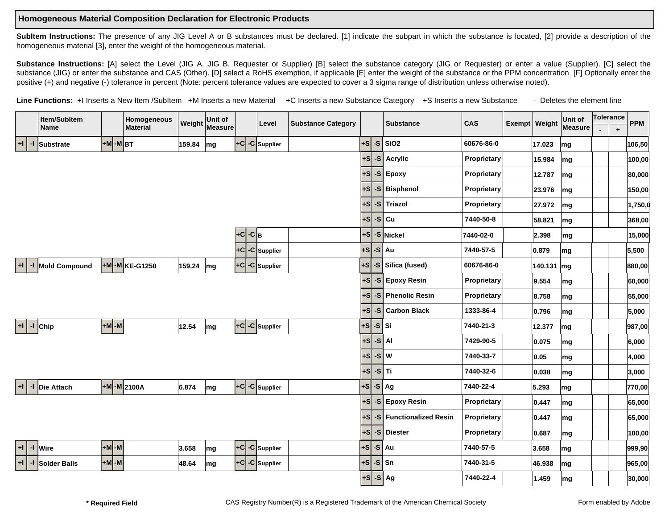## **Homogeneous Material Composition Declaration for Electronic Products**

**SubItem Instructions:** The presence of any JIG Level A or B substances must be declared. [1] indicate the subpart in which the substance is located, [2] provide a description of the homogeneous material [3], enter the weight of the homogeneous material.

Substance Instructions: [A] select the Level (JIG A, JIG B, Requester or Supplier) [B] select the substance category (JIG or Requester) or enter a value (Supplier). [C] select the substance (JIG) or enter the substance and CAS (Other). [D] select a RoHS exemption, if applicable [E] enter the weight of the substance or the PPM concentration [F] Optionally enter the positive (+) and negative (-) tolerance in percent (Note: percent tolerance values are expected to cover a 3 sigma range of distribution unless otherwise noted).

Line Functions: +I Inserts a New Item /SubItem +M Inserts a new Material +C Inserts a new Substance Category +S Inserts a new Substance - Deletes the element line

|                      | Item/SubItem               |           | Homogeneous         | Weight    | Unit of |                  | Level                                | <b>Substance Category</b> |                          |         | <b>Substance</b>        | CAS         | Exempt Weight | Unit of | Tolerance | <b>PPM</b> |
|----------------------|----------------------------|-----------|---------------------|-----------|---------|------------------|--------------------------------------|---------------------------|--------------------------|---------|-------------------------|-------------|---------------|---------|-----------|------------|
|                      | <b>Name</b>                |           | <b>Material</b>     |           | Measure |                  |                                      |                           |                          |         |                         |             |               | Measure | $\ddot{}$ |            |
| $+1$<br>-1           | Substrate                  | $+M$ -MBT |                     | 159.84    | mg      |                  | +C -C Supplier                       |                           | $+$ s                    |         | $-S$ SiO <sub>2</sub>   | 60676-86-0  | 17.023        | mg      |           | 106,50     |
|                      |                            |           |                     |           |         |                  |                                      |                           | ∣+s∣                     |         | $-S$ Acrylic            | Proprietary | 15.984        | mg      |           | 100,00     |
|                      |                            |           |                     |           |         |                  |                                      |                           | $ +s $                   |         | $-S$ Epoxy              | Proprietary | 12.787        | mg      |           | 80,000     |
|                      |                            |           |                     |           |         |                  |                                      |                           | +S                       |         | -S Bisphenol            | Proprietary | 23.976        | mg      |           | 150,00     |
|                      |                            |           |                     |           |         |                  |                                      |                           | $+S$                     |         | -S Triazol              | Proprietary | 27.972        | mg      |           | 1,750,0    |
|                      |                            |           |                     |           |         |                  |                                      |                           | $+S$                     |         | $-S $ Cu                | 7440-50-8   | 58.821        | mg      |           | 368,00     |
|                      |                            |           |                     |           |         | $-c B$<br>$ +c $ |                                      |                           | $+ s$                    |         | -S Nickel               | 7440-02-0   | 2.398         | mg      |           | 15,000     |
|                      |                            |           |                     |           |         |                  | $ +C -C $ Supplier                   |                           | $+ S \cdot S$ Au         |         |                         | 7440-57-5   | 0.879         | mg      |           | 5,500      |
| $+1$                 | -I Mold Compound           |           | $+M$ -M $KE$ -G1250 | 159.24 mg |         |                  | +C -C Supplier                       |                           |                          |         | +S -S Silica (fused)    | 60676-86-0  | 140.131 mg    |         |           | 880,00     |
|                      |                            |           |                     |           |         |                  |                                      |                           | l+sl                     |         | -S Epoxy Resin          | Proprietary | 9.554         | mg      |           | 60,000     |
|                      |                            |           |                     |           |         |                  |                                      |                           | $+S$                     |         | -S Phenolic Resin       | Proprietary | 8.758         | mg      |           | 55,000     |
|                      |                            |           |                     |           |         |                  |                                      |                           | $+S$                     |         | -S Carbon Black         | 1333-86-4   | 0.796         | mg      |           | 5,000      |
|                      | $\left  + \right $ -I Chip | $+M$ -M   |                     | 12.54     | mg      |                  | $ \mathsf{+C} \mathsf{-C} $ Supplier |                           | $+S$                     | $-S$ Si |                         | 7440-21-3   | 12.377        | mg      |           | 987,00     |
|                      |                            |           |                     |           |         |                  |                                      |                           | $+S$                     |         | $-S1$ AI                | 7429-90-5   | 0.075         | mg      |           | 6,000      |
|                      |                            |           |                     |           |         |                  |                                      |                           | $+S$                     |         | $-S$ W                  | 7440-33-7   | 0.05          | mg      |           | 4,000      |
|                      |                            |           |                     |           |         |                  |                                      |                           | $+S$                     |         | $-S$ Ti                 | 7440-32-6   | 0.038         | mg      |           | 3,000      |
|                      | +I -I Die Attach           |           | $+M$ -M 2100A       | 6.874     | mg      |                  | $ \mathsf{+C} \mathsf{-C} $ Supplier |                           | $+S$                     |         | $-S$ Ag                 | 7440-22-4   | 5.293         | mg      |           | 770,00     |
|                      |                            |           |                     |           |         |                  |                                      |                           | $+S$                     |         | -S Epoxy Resin          | Proprietary | 0.447         | mg      |           | 65,000     |
|                      |                            |           |                     |           |         |                  |                                      |                           | $+S$                     |         | -S Functionalized Resin | Proprietary | 0.447         | mg      |           | 65,000     |
|                      |                            |           |                     |           |         |                  |                                      |                           | ∣+s∣                     |         | -S Diester              | Proprietary | 0.687         | mg      |           | 100,00     |
| $+1$<br>$\mathbf{I}$ | <b>Wire</b>                | $+M$ -M   |                     | 3.658     | mg      |                  | $ \mathsf{+C} \mathsf{-C} $ Supplier |                           | +s                       |         | $-S$ Au                 | 7440-57-5   | 3.658         | mg      |           | 999,90     |
| $+1$                 | -I Solder Balls            | $+M$ -M   |                     | 48.64     | mg      | $+C$             | -C Supplier                          |                           | $+ s$                    |         | $-S$ Sn                 | 7440-31-5   | 46.938        | mg      |           | 965,00     |
|                      |                            |           |                     |           |         |                  |                                      |                           | $ \mathbf{S} $ -S $ $ Ag |         |                         | 7440-22-4   | 1.459         | mg      |           | 30,000     |